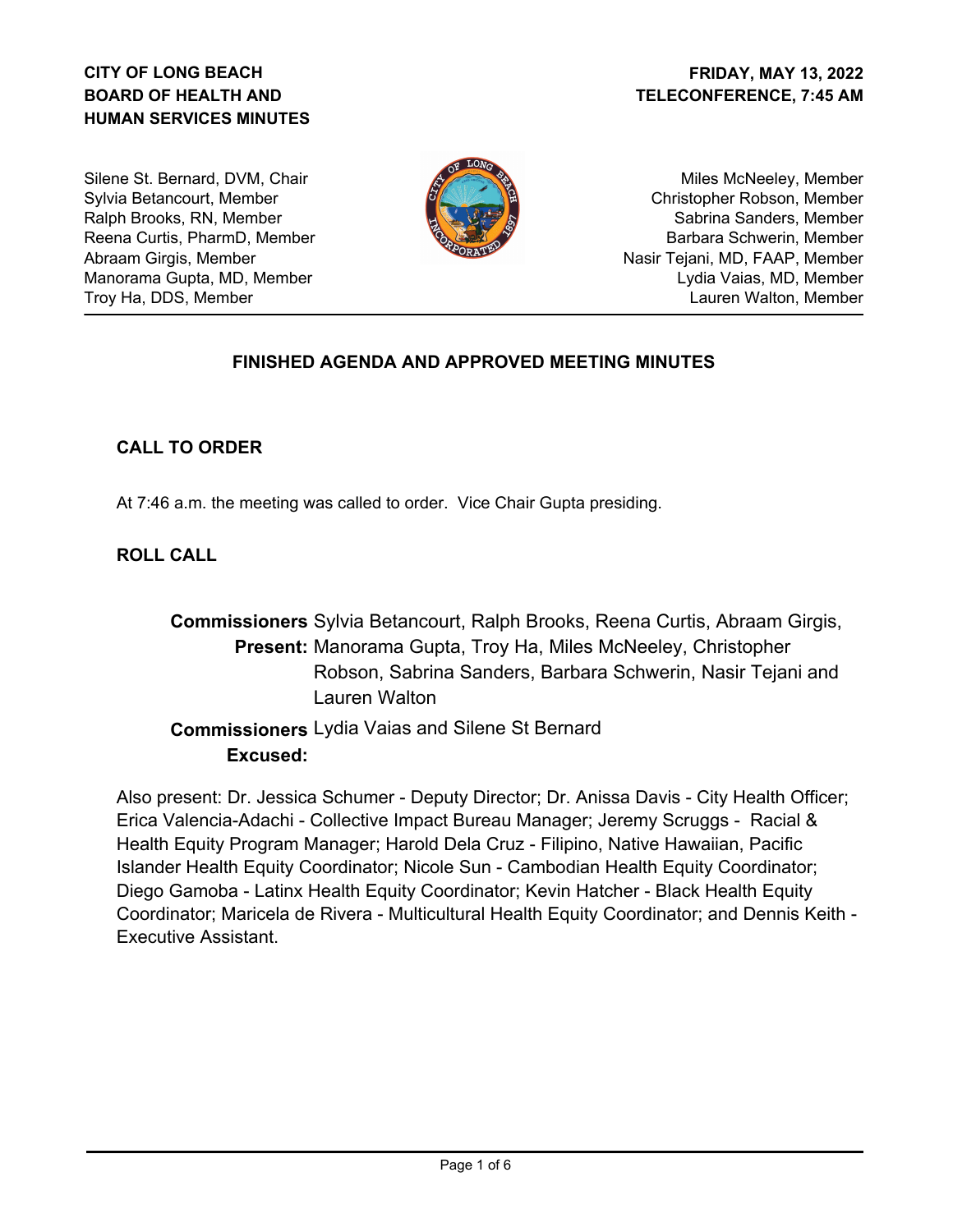# **CITY OF LONG BEACH BOARD OF HEALTH AND HUMAN SERVICES MINUTES**

Silene St. Bernard, DVM, Chair Sylvia Betancourt, Member Ralph Brooks, RN, Member Reena Curtis, PharmD, Member Abraam Girgis, Member Manorama Gupta, MD, Member Troy Ha, DDS, Member



Miles McNeeley, Member Christopher Robson, Member Sabrina Sanders, Member Barbara Schwerin, Member Nasir Tejani, MD, FAAP, Member Lydia Vaias, MD, Member Lauren Walton, Member

## **FINISHED AGENDA AND APPROVED MEETING MINUTES**

## **CALL TO ORDER**

At 7:46 a.m. the meeting was called to order. Vice Chair Gupta presiding.

# **ROLL CALL**

**Commissioners** Sylvia Betancourt, Ralph Brooks, Reena Curtis, Abraam Girgis, Present: Manorama Gupta, Troy Ha, Miles McNeeley, Christopher Robson, Sabrina Sanders, Barbara Schwerin, Nasir Tejani and Lauren Walton

 **Commissioners** Lydia Vaias and Silene St Bernard **Excused:**

Also present: Dr. Jessica Schumer - Deputy Director; Dr. Anissa Davis - City Health Officer; Erica Valencia-Adachi - Collective Impact Bureau Manager; Jeremy Scruggs - Racial & Health Equity Program Manager; Harold Dela Cruz - Filipino, Native Hawaiian, Pacific Islander Health Equity Coordinator; Nicole Sun - Cambodian Health Equity Coordinator; Diego Gamoba - Latinx Health Equity Coordinator; Kevin Hatcher - Black Health Equity Coordinator; Maricela de Rivera - Multicultural Health Equity Coordinator; and Dennis Keith - Executive Assistant.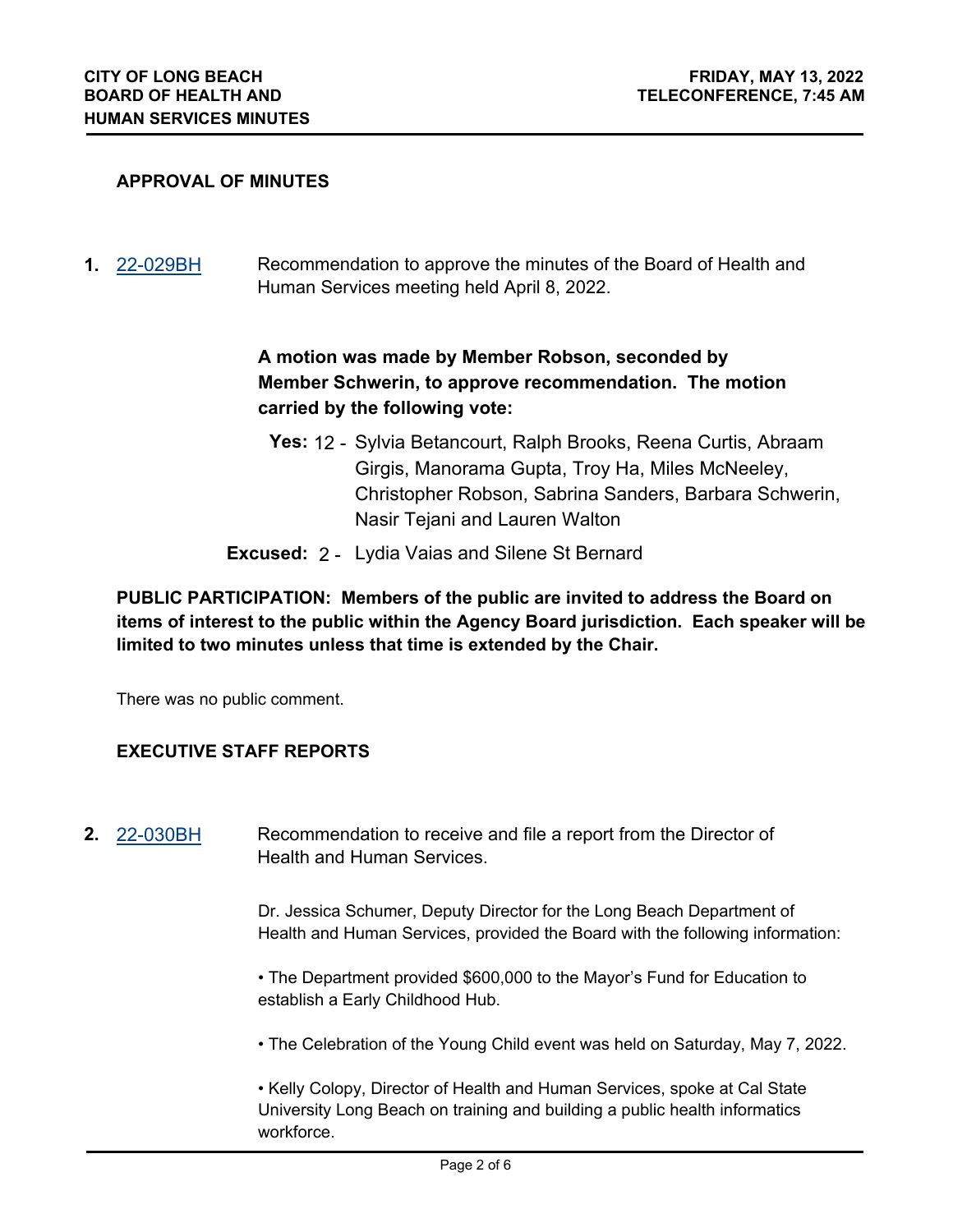### **APPROVAL OF MINUTES**

**1.** [22-029BH](http://longbeach.legistar.com/gateway.aspx?M=L&ID=239423) Recommendation to approve the minutes of the Board of Health and Human Services meeting held April 8, 2022.

# **A motion was made by Member Robson, seconded by Member Schwerin, to approve recommendation. The motion carried by the following vote:**

- **Yes:** 12 Sylvia Betancourt, Ralph Brooks, Reena Curtis, Abraam Girgis, Manorama Gupta, Troy Ha, Miles McNeeley, Christopher Robson, Sabrina Sanders, Barbara Schwerin, Nasir Tejani and Lauren Walton
- **Excused:** 2 Lydia Vaias and Silene St Bernard

## **PUBLIC PARTICIPATION: Members of the public are invited to address the Board on items of interest to the public within the Agency Board jurisdiction. Each speaker will be limited to two minutes unless that time is extended by the Chair.**

There was no public comment.

## **EXECUTIVE STAFF REPORTS**

**2.** [22-030BH](http://longbeach.legistar.com/gateway.aspx?M=L&ID=239424) Recommendation to receive and file a report from the Director of Health and Human Services.

> Dr. Jessica Schumer, Deputy Director for the Long Beach Department of Health and Human Services, provided the Board with the following information:

• The Department provided \$600,000 to the Mayor's Fund for Education to establish a Early Childhood Hub.

• The Celebration of the Young Child event was held on Saturday, May 7, 2022.

• Kelly Colopy, Director of Health and Human Services, spoke at Cal State University Long Beach on training and building a public health informatics workforce.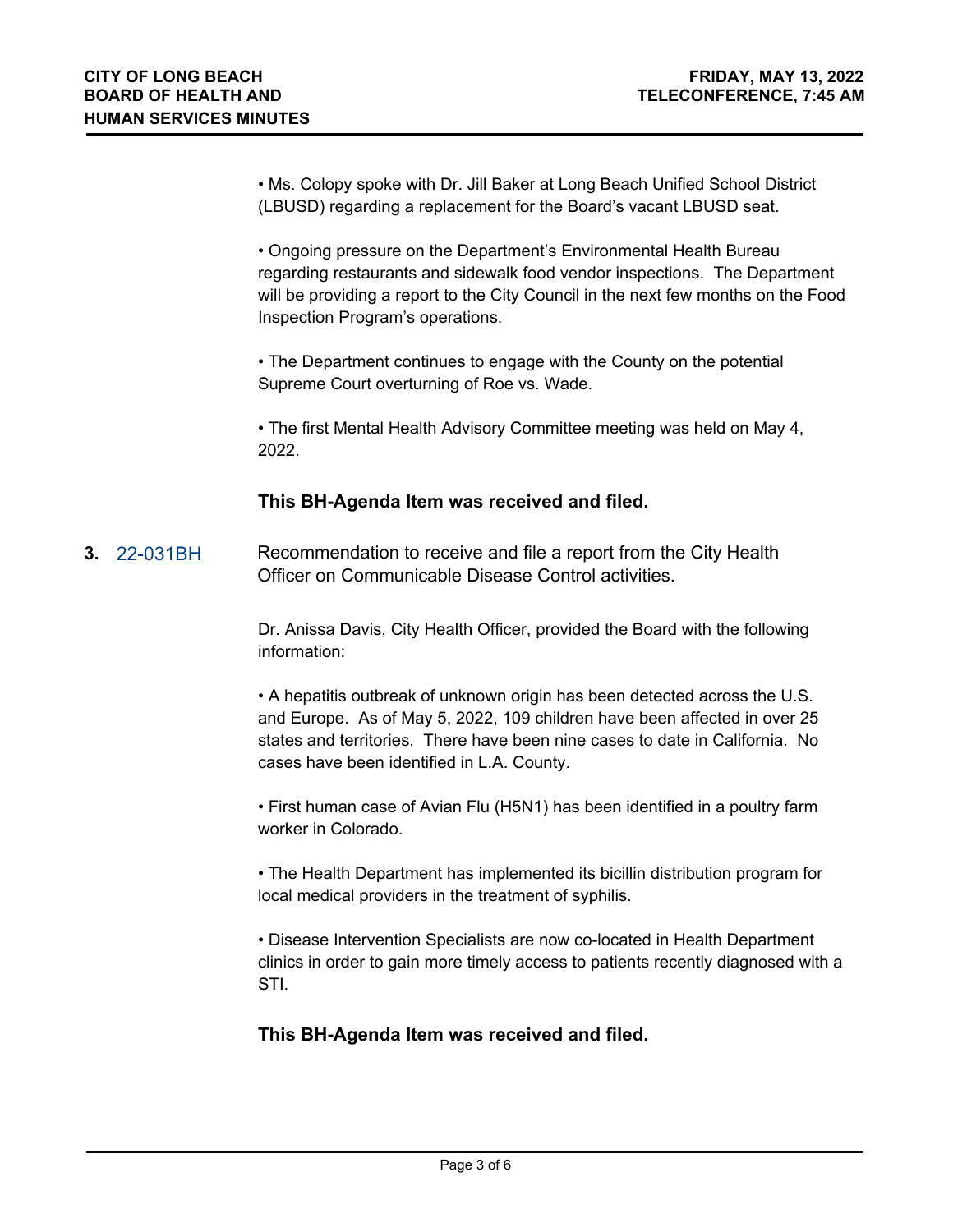• Ms. Colopy spoke with Dr. Jill Baker at Long Beach Unified School District (LBUSD) regarding a replacement for the Board's vacant LBUSD seat.

• Ongoing pressure on the Department's Environmental Health Bureau regarding restaurants and sidewalk food vendor inspections. The Department will be providing a report to the City Council in the next few months on the Food Inspection Program's operations.

• The Department continues to engage with the County on the potential Supreme Court overturning of Roe vs. Wade.

• The first Mental Health Advisory Committee meeting was held on May 4, 2022.

## **This BH-Agenda Item was received and filed.**

**3.** [22-031BH](http://longbeach.legistar.com/gateway.aspx?M=L&ID=239425) Recommendation to receive and file a report from the City Health Officer on Communicable Disease Control activities.

> Dr. Anissa Davis, City Health Officer, provided the Board with the following information:

• A hepatitis outbreak of unknown origin has been detected across the U.S. and Europe. As of May 5, 2022, 109 children have been affected in over 25 states and territories. There have been nine cases to date in California. No cases have been identified in L.A. County.

• First human case of Avian Flu (H5N1) has been identified in a poultry farm worker in Colorado.

• The Health Department has implemented its bicillin distribution program for local medical providers in the treatment of syphilis.

• Disease Intervention Specialists are now co-located in Health Department clinics in order to gain more timely access to patients recently diagnosed with a STI.

## **This BH-Agenda Item was received and filed.**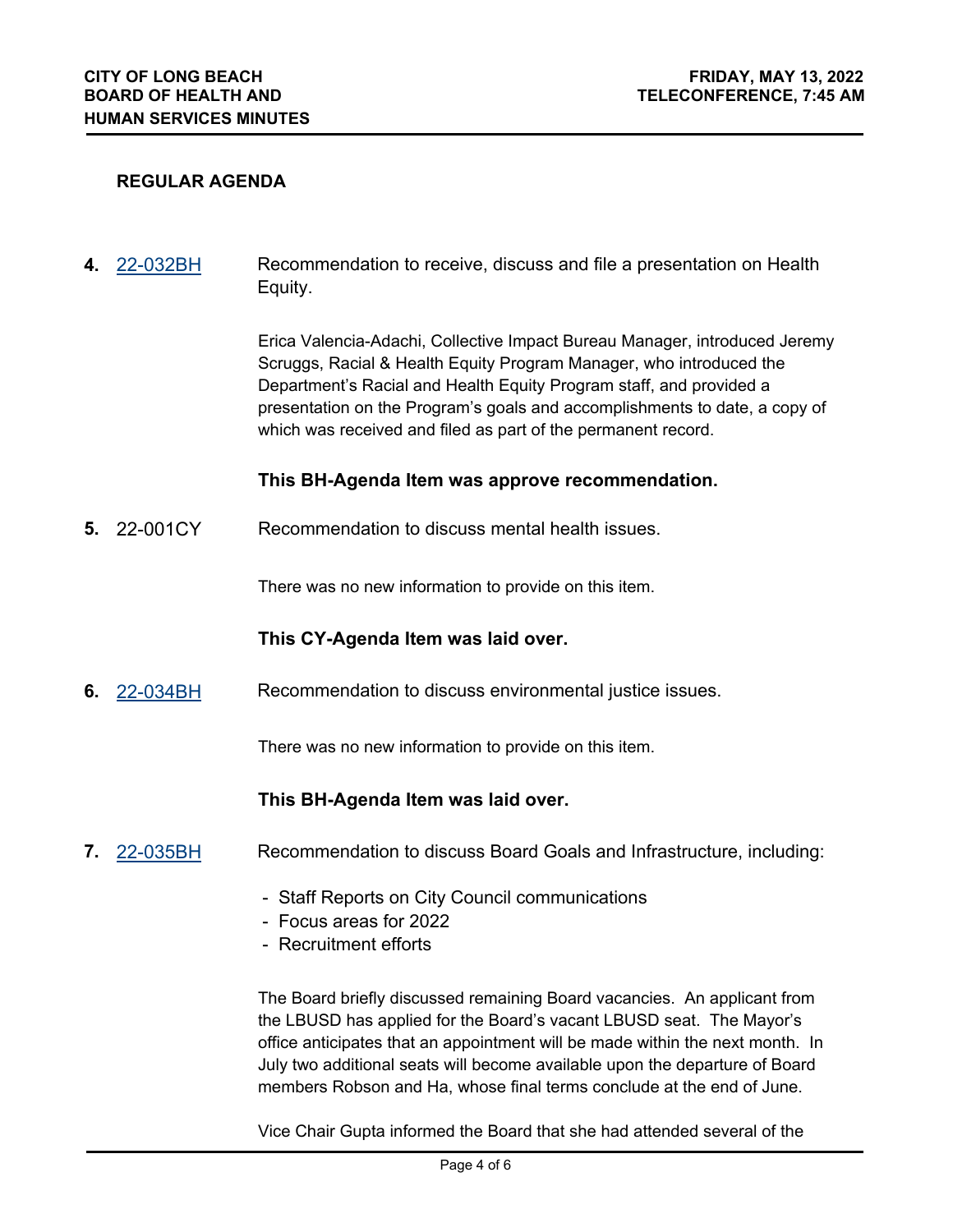### **REGULAR AGENDA**

**4.** [22-032BH](http://longbeach.legistar.com/gateway.aspx?M=L&ID=239426) Recommendation to receive, discuss and file a presentation on Health Equity.

> Erica Valencia-Adachi, Collective Impact Bureau Manager, introduced Jeremy Scruggs, Racial & Health Equity Program Manager, who introduced the Department's Racial and Health Equity Program staff, and provided a presentation on the Program's goals and accomplishments to date, a copy of which was received and filed as part of the permanent record.

#### **This BH-Agenda Item was approve recommendation.**

**5.** 22-001CY Recommendation to discuss mental health issues.

There was no new information to provide on this item.

#### **This CY-Agenda Item was laid over.**

**6.** [22-034BH](http://longbeach.legistar.com/gateway.aspx?M=L&ID=239428) Recommendation to discuss environmental justice issues.

There was no new information to provide on this item.

#### **This BH-Agenda Item was laid over.**

- **7.** [22-035BH](http://longbeach.legistar.com/gateway.aspx?M=L&ID=239429) Recommendation to discuss Board Goals and Infrastructure, including:
	- Staff Reports on City Council communications
	- Focus areas for 2022
	- Recruitment efforts

The Board briefly discussed remaining Board vacancies. An applicant from the LBUSD has applied for the Board's vacant LBUSD seat. The Mayor's office anticipates that an appointment will be made within the next month. In July two additional seats will become available upon the departure of Board members Robson and Ha, whose final terms conclude at the end of June.

Vice Chair Gupta informed the Board that she had attended several of the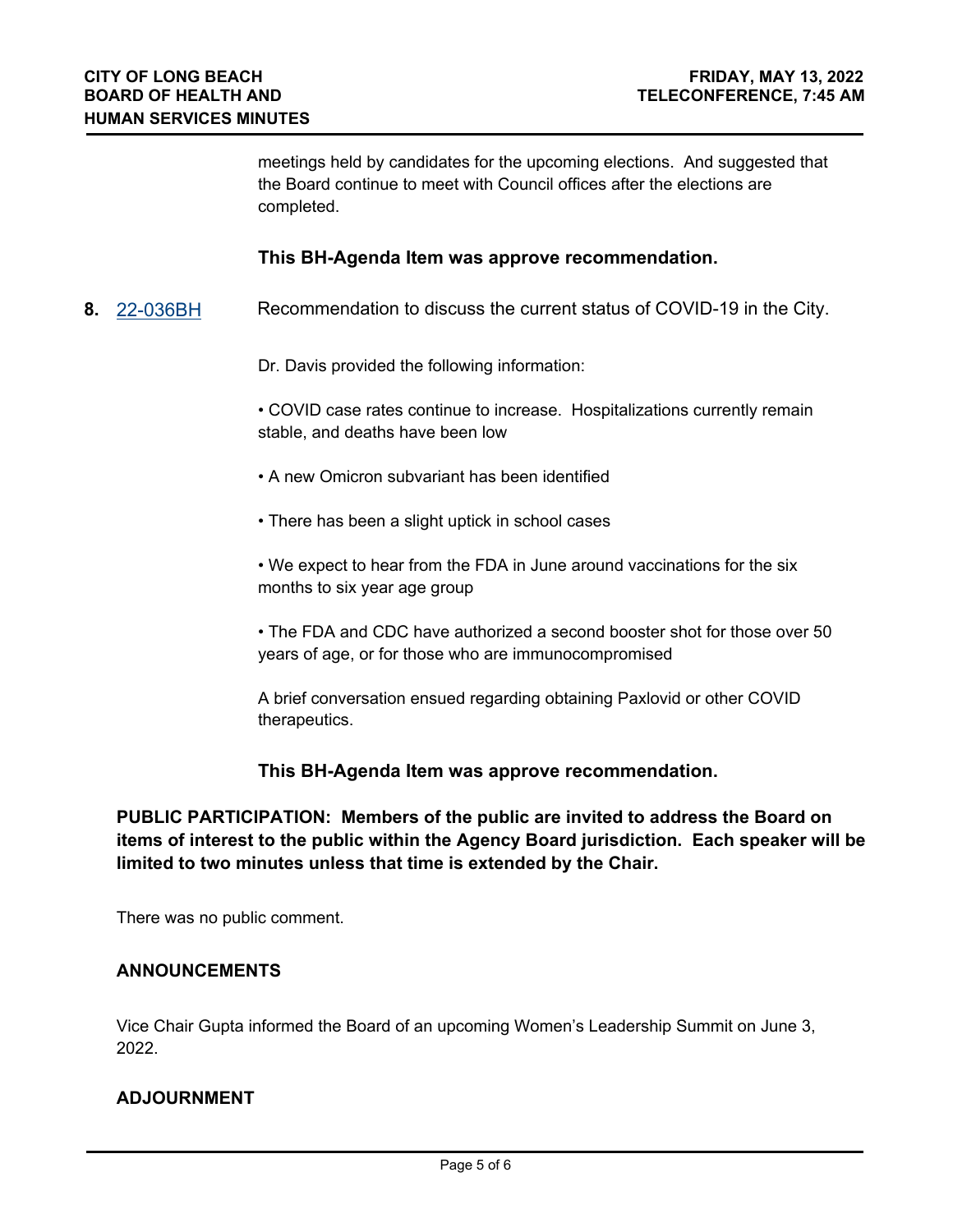meetings held by candidates for the upcoming elections. And suggested that the Board continue to meet with Council offices after the elections are completed.

### **This BH-Agenda Item was approve recommendation.**

**8.** [22-036BH](http://longbeach.legistar.com/gateway.aspx?M=L&ID=239430) Recommendation to discuss the current status of COVID-19 in the City.

Dr. Davis provided the following information:

• COVID case rates continue to increase. Hospitalizations currently remain stable, and deaths have been low

- A new Omicron subvariant has been identified
- There has been a slight uptick in school cases

• We expect to hear from the FDA in June around vaccinations for the six months to six year age group

• The FDA and CDC have authorized a second booster shot for those over 50 years of age, or for those who are immunocompromised

A brief conversation ensued regarding obtaining Paxlovid or other COVID therapeutics.

#### **This BH-Agenda Item was approve recommendation.**

**PUBLIC PARTICIPATION: Members of the public are invited to address the Board on items of interest to the public within the Agency Board jurisdiction. Each speaker will be limited to two minutes unless that time is extended by the Chair.**

There was no public comment.

#### **ANNOUNCEMENTS**

Vice Chair Gupta informed the Board of an upcoming Women's Leadership Summit on June 3, 2022.

#### **ADJOURNMENT**